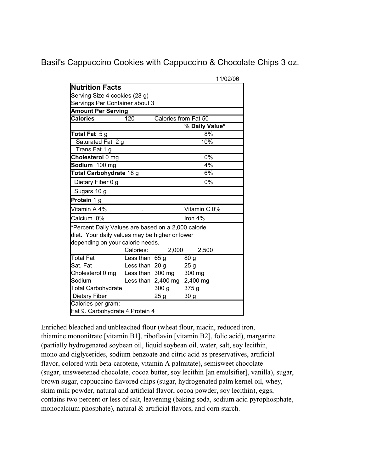Basil's Cappuccino Cookies with Cappuccino & Chocolate Chips 3 oz.

|                                                    |                  |                                 | 11/02/06        |
|----------------------------------------------------|------------------|---------------------------------|-----------------|
| <b>Nutrition Facts</b>                             |                  |                                 |                 |
| Serving Size 4 cookies (28 g)                      |                  |                                 |                 |
| Servings Per Container about 3                     |                  |                                 |                 |
| <b>Amount Per Serving</b>                          |                  |                                 |                 |
| <b>Calories</b>                                    | 120              | Calories from Fat 50            |                 |
|                                                    |                  |                                 | % Daily Value*  |
| Total Fat 5g                                       |                  |                                 | 8%              |
| Saturated Fat 2 g                                  |                  |                                 | 10%             |
| Trans Fat 1 g                                      |                  |                                 |                 |
| Cholesterol 0 mg                                   |                  |                                 | 0%              |
| Sodium 100 mg                                      |                  |                                 | 4%              |
| Total Carbohydrate 18 g                            |                  |                                 | 6%              |
| Dietary Fiber 0 g                                  |                  |                                 | 0%              |
| Sugars 10 g                                        |                  |                                 |                 |
| Protein 1 g                                        |                  |                                 |                 |
| Vitamin A 4%                                       |                  |                                 | Vitamin C 0%    |
| Calcium 0%                                         |                  |                                 | Iron $4%$       |
| *Percent Daily Values are based on a 2,000 calorie |                  |                                 |                 |
| diet. Your daily values may be higher or lower     |                  |                                 |                 |
| depending on your calorie needs.                   |                  |                                 |                 |
|                                                    | Calories:        | 2,000                           | 2,500           |
| <b>Total Fat</b>                                   | Less than $65 g$ |                                 | 80 <sub>q</sub> |
| Sat. Fat                                           | Less than 20 g   |                                 | 25 <sub>g</sub> |
| Cholesterol 0 mg                                   |                  | Less than 300 mg                | 300 mg          |
| Sodium                                             |                  | Less than $2,400$ mg $2,400$ mg |                 |
| <b>Total Carbohydrate</b>                          |                  | 300 <sub>g</sub>                | 375g            |
| Dietary Fiber                                      |                  | 25 g                            | 30 <sub>g</sub> |
| Calories per gram:                                 |                  |                                 |                 |
| Fat 9. Carbohydrate 4. Protein 4                   |                  |                                 |                 |

Enriched bleached and unbleached flour (wheat flour, niacin, reduced iron, (partially hydrogenated soybean oil, liquid soybean oil, water, salt, soy lecithin, (sugar, unsweetened chocolate, cocoa butter, soy lecithin [an emulsifier], vanilla), sugar, brown sugar, cappuccino flavored chips (sugar, hydrogenated palm kernel oil, whey, skim milk powder, natural and artificial flavor, cocoa powder, soy lecithin), eggs, thiamine mononitrate [vitamin B1], riboflavin [vitamin B2], folic acid), margarine mono and diglycerides, sodium benzoate and citric acid as preservatives, artificial flavor, colored with beta-carotene, vitamin A palmitate), semisweet chocolate contains two percent or less of salt, leavening (baking soda, sodium acid pyrophosphate, monocalcium phosphate), natural & artificial flavors, and corn starch.